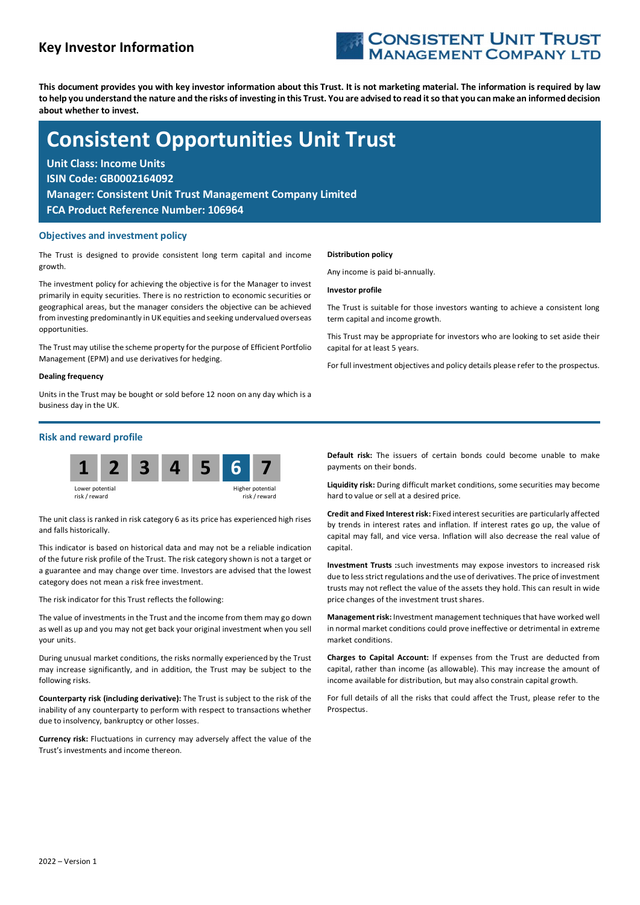# Key Investor Information



This document provides you with key investor information about this Trust. It is not marketing material. The information is required by law to help you understand the nature and the risks of investing in this Trust. You are advised to read it so that you can make an informed decision about whether to invest.

# Consistent Opportunities Unit Trust

Unit Class: Income Units ISIN Code: GB0002164092 Manager: Consistent Unit Trust Management Company Limited FCA Product Reference Number: 106964

# Objectives and investment policy

The Trust is designed to provide consistent long term capital and income growth.

The investment policy for achieving the objective is for the Manager to invest primarily in equity securities. There is no restriction to economic securities or geographical areas, but the manager considers the objective can be achieved from investing predominantly in UK equities and seeking undervalued overseas opportunities.

The Trust may utilise the scheme property for the purpose of Efficient Portfolio Management (EPM) and use derivatives for hedging.

#### Dealing frequency

Units in the Trust may be bought or sold before 12 noon on any day which is a business day in the UK.

#### Distribution policy

Any income is paid bi-annually.

#### Investor profile

The Trust is suitable for those investors wanting to achieve a consistent long term capital and income growth.

This Trust may be appropriate for investors who are looking to set aside their capital for at least 5 years.

For full investment objectives and policy details please refer to the prospectus.

# Risk and reward profile



The unit class is ranked in risk category 6 as its price has experienced high rises and falls historically.

This indicator is based on historical data and may not be a reliable indication of the future risk profile of the Trust. The risk category shown is not a target or a guarantee and may change over time. Investors are advised that the lowest category does not mean a risk free investment.

The risk indicator for this Trust reflects the following:

The value of investments in the Trust and the income from them may go down as well as up and you may not get back your original investment when you sell your units.

During unusual market conditions, the risks normally experienced by the Trust may increase significantly, and in addition, the Trust may be subject to the following risks.

Counterparty risk (including derivative): The Trust is subject to the risk of the inability of any counterparty to perform with respect to transactions whether due to insolvency, bankruptcy or other losses.

Currency risk: Fluctuations in currency may adversely affect the value of the Trust's investments and income thereon.

Default risk: The issuers of certain bonds could become unable to make payments on their bonds.

Liquidity risk: During difficult market conditions, some securities may become hard to value or sell at a desired price.

Credit and Fixed Interest risk: Fixed interest securities are particularly affected by trends in interest rates and inflation. If interest rates go up, the value of capital may fall, and vice versa. Inflation will also decrease the real value of capital.

Investment Trusts :such investments may expose investors to increased risk due to less strict regulations and the use of derivatives. The price of investment trusts may not reflect the value of the assets they hold. This can result in wide price changes of the investment trust shares.

Management risk: Investment management techniques that have worked well in normal market conditions could prove ineffective or detrimental in extreme market conditions.

Charges to Capital Account: If expenses from the Trust are deducted from capital, rather than income (as allowable). This may increase the amount of income available for distribution, but may also constrain capital growth.

For full details of all the risks that could affect the Trust, please refer to the Prospectus.